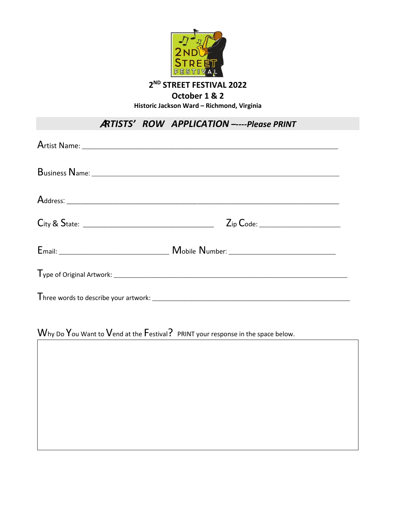

**2 ND STREET FESTIVAL 2022**

**October 1 & 2**

**Historic Jackson Ward – Richmond, Virginia**

## A*RTISTS' ROW APPLICATION –----Please PRINT*

| Why Do You Want to Vend at the Festival? PRINT your response in the space below. |
|----------------------------------------------------------------------------------|